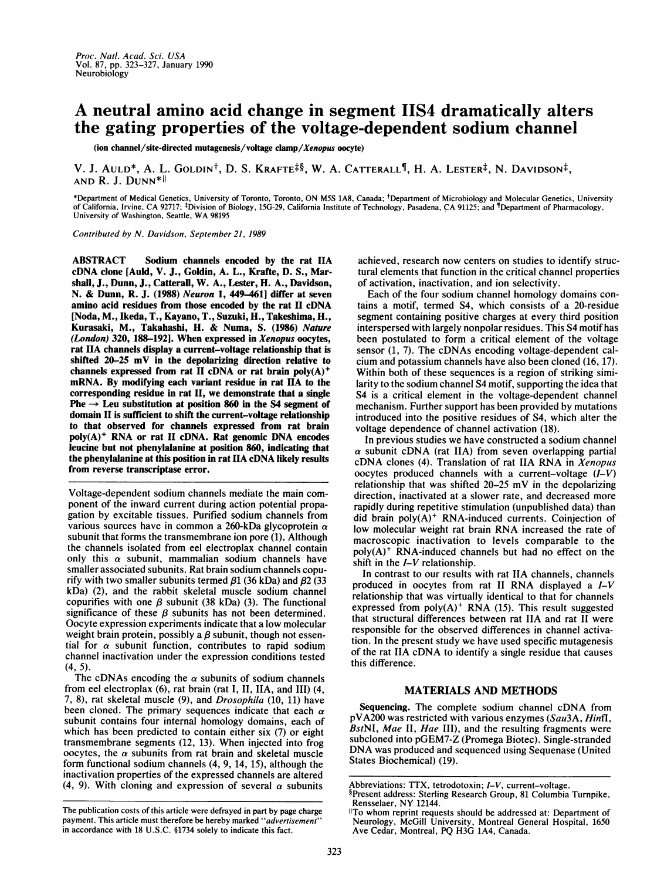## A neutral amino acid change in segment 11S4 dramatically alters the gating properties of the voltage-dependent sodium channel

(ion channel/site-directed mutagenesis/voltage clamp/Xenopus oocyte)

V. J. AULD<sup>\*</sup>, A. L. GOLDIN<sup>†</sup>, D. S. KRAFTE<sup> $\frac{4}{9}$ </sup>, W. A. CATTERALL<sup>¶</sup>, H. A. LESTER<sup>‡</sup>, N. DAVIDSON<sup>‡</sup>, AND R. J. DUNN\*II

\*Department of Medical Genetics, University of Toronto, Toronto, ON M5S 1A8, Canada; tDepartment of Microbiology and Molecular Genetics, University of California, Irvine, CA 92717; ‡Division of Biology, 15G-29, California Institute of Technology, Pasadena, CA 91125; and ¶Department of Pharmacology,<br>University of Washington, Seattle, WA 98195

Contributed by N. Davidson, September 21, 1989

ABSTRACT Sodium channels encoded by the rat HA cDNA clone [Auld, V. J., Goldin, A. L., Krafte, D. S., Marshall, J., Dunn, J., Catterall, W. A., Lester, H. A., Davidson, N. & Dunn, R. J. (1988) Neuron 1, 449-461] differ at seven amino acid residues from those encoded by the rat II cDNA [Noda, M., Ikeda, T., Kayano, T., Suzuki, H., Takeshima, H., Kurasaki, M., Takahashi, H. & Numa, S. (1986) Nature (London) 320, 188-192]. When expressed in Xenopus oocytes, rat HA channels display <sup>a</sup> current-voltage relationship that is shifted 20-25 mV in the depolarizing direction relative to channels expressed from rat II cDNA or rat brain poly(A)<sup>+</sup> mRNA. By modifying each variant residue in rat HA to the corresponding residue in rat II, we demonstrate that a single Phe  $\rightarrow$  Leu substitution at position 860 in the S4 segment of domain II is sufficient to shift the current-voltage relationship to that observed for channels expressed from rat brain  $poly(A)^+$  RNA or rat II cDNA. Rat genomic DNA encodes leucine but not phenylalanine at position 860, indicating that the phenylalanine at this position in rat HA cDNA likely results from reverse transcriptase error.

Voltage-dependent sodium channels mediate the main component of the inward current during action potential propagation by excitable tissues. Purified sodium channels from various sources have in common a 260-kDa glycoprotein  $\alpha$ subunit that forms the transmembrane ion pore (1), Although the channels isolated from eel electroplax channel contain only this  $\alpha$  subunit, mammalian sodium channels have smaller associated subunits. Rat brain sodium channels copurify with two smaller subunits termed  $\beta$ 1 (36 kDa) and  $\beta$ 2 (33 kDa) (2), and the rabbit skeletal muscle sodium channel copurifies with one  $\beta$  subunit (38 kDa) (3). The functional significance of these  $\beta$  subunits has not been determined. Oocyte expression experiments indicate that a low molecular weight brain protein, possibly a  $\beta$  subunit, though not essential for  $\alpha$  subunit function, contributes to rapid sodium channel inactivation under the expression conditions tested (4, 5).

The cDNAs encoding the  $\alpha$  subunits of sodium channels from eel electroplax (6), rat brain (rat I, II, IIA, and III) (4, 7, 8), rat skeletal muscle (9), and Drosophila (10, 11) have been cloned. The primary sequences indicate that each  $\alpha$ subunit contains four internal homology domains, each of which has been predicted to contain either six (7) or eight transmembrane segments (12, 13). When injected into frog oocytes, the  $\alpha$  subunits from rat brain and skeletal muscle form functional sodium channels (4, 9, 14, 15), although the inactivation properties of the expressed channels are altered (4, 9). With cloning and expression of several  $\alpha$  subunits

achieved, research now centers on studies to identify structural elements that function in the critical channel properties of activation, inactivation, and ion selectivity.

Each of the four sodium channel homology domains contains a motif, termed S4, which consists of a 20-residue segment containing positive charges at every third position interspersed with largely nonpolar residues. This S4 motif has been postulated to form a critical element of the voltage sensor (1, 7). The cDNAs encoding voltage-dependent calcium and potassium channels have also been cloned (16, 17). Within both of these sequences is a region of striking similarity to the sodium channel S4 motif, supporting the idea that S4 is a critical element in the voltage-dependent channel mechanism. Further support has been provided by mutations introduced into the positive residues of S4, which alter the voltage dependence of channel activation (18).

In previous studies we have constructed a sodium channel  $\alpha$  subunit cDNA (rat IIA) from seven overlapping partial cDNA clones (4). Translation of rat IIA RNA in Xenopus oocytes produced channels with a current-voltage  $(I-V)$ relationship that was shifted 20-25 mV in the depolarizing direction, inactivated at a slower rate, and decreased more rapidly during repetitive stimulation (unpublished data) than did brain  $poly(A)^+$  RNA-induced currents. Coinjection of low molecular weight rat brain RNA increased the rate of macroscopic inactivation to levels comparable to the  $poly(A)^+$  RNA-induced channels but had no effect on the shift in the  $I-V$  relationship.

In contrast to our results with rat IIA channels, channels produced in oocytes from rat II RNA displayed <sup>a</sup> I-V relationship that was virtually identical to that for channels expressed from  $poly(A)^+$  RNA (15). This result suggested that structural differences between rat IIA and rat II were responsible for the observed differences in channel activation. In the present study we have used specific mutagenesis of the rat IIA cDNA to identify <sup>a</sup> single residue that causes this difference.

## MATERIALS AND METHODS

Sequencing. The complete sodium channel cDNA from pVA200 was restricted with various enzymes (Sau3A, Hinfl, BstNI, Mae II, Hae III), and the resulting fragments were subcloned into pGEM7-Z (Promega Biotec). Single-stranded DNA was produced and sequenced using Sequenase (United States Biochemical) (19).

The publication costs of this article were defrayed in part by page charge payment. This article must therefore be hereby marked "advertisement" in accordance with 18 U.S.C. §1734 solely to indicate this fact.

Abbreviations: TTX, tetrodotoxin; I-V, current-voltage.

<sup>§</sup>Present address: Sterling Research Group, 81 Columbia Turnpike, Rensselaer, NY 12144.

ITo whom reprint requests should be addressed at: Department of Neurology, McGill University, Montreal General Hospital, 1650 Ave Cedar, Montreal, PQ H3G 1A4, Canada.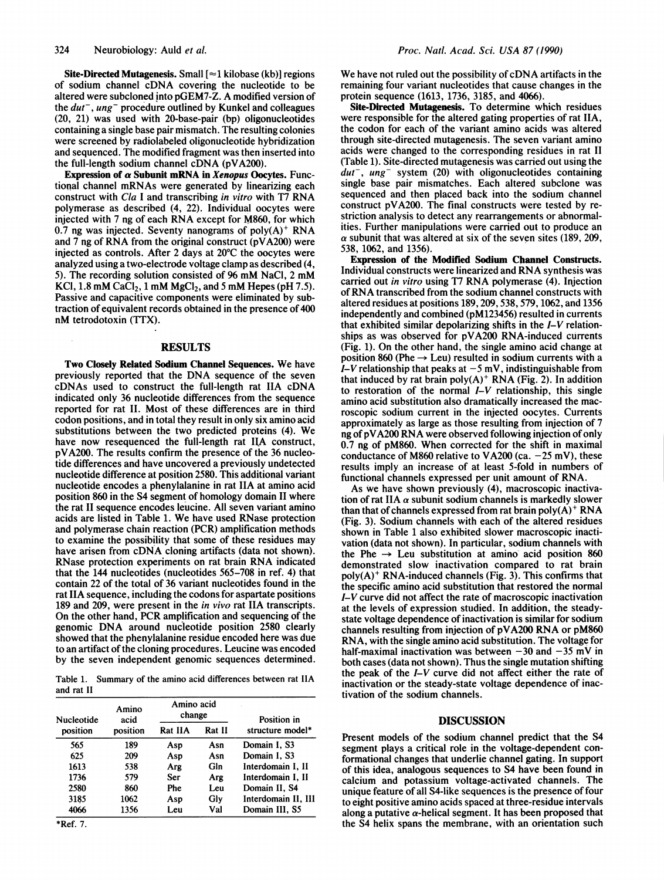Site-Directed Mutagenesis. Small  $\lceil z \rceil$  kilobase (kb)] regions of sodium channel cDNA covering the nucleotide to be altered were subcloned into pGEM7-Z. A modified version of the  $du^-, u^+$  procedure outlined by Kunkel and colleagues (20, 21) was used with 20-base-pair (bp) oligonucleotides containing a single base pair mismatch. The resulting colonies were screened by radiolabeled oligonucleotide hybridization and sequenced. The modified fragment was then inserted into the full-length sodium channel cDNA (pVA200).

Expression of  $\alpha$  Subunit mRNA in Xenopus Oocytes. Functional channel mRNAs were generated by linearizing each construct with Cla <sup>I</sup> and transcribing in vitro with T7 RNA polymerase as described (4, 22). Individual oocytes were injected with <sup>7</sup> ng of each RNA except for M860, for which 0.7 ng was injected. Seventy nanograms of  $poly(A)^+$  RNA and <sup>7</sup> ng of RNA from the original construct (pVA200) were injected as controls. After 2 days at 20'C the oocytes were analyzed using a two-electrode voltage clamp as described (4, 5). The recording solution consisted of <sup>96</sup> mM NaCl, <sup>2</sup> mM KCI,  $1.8 \text{ mM } CaCl<sub>2</sub>$ ,  $1 \text{ mM } MgCl<sub>2</sub>$ , and  $5 \text{ mM } Hepes$  (pH 7.5). Passive and capacitive components were eliminated by subtraction of equivalent records obtained in the presence of 400 nM tetrodotoxin (TTX).

## **RESULTS**

Two Closely Related Sodium Channel Sequences. We have previously reported that the DNA sequence of the seven cDNAs used to construct the full-length rat IIA cDNA indicated only 36 nucleotide differences from the sequence reported for rat II. Most of these differences are in third codon positions, and in total they result in only six amino acid substitutions between the two predicted proteins (4). We have now resequenced the full-length rat IlA construct, pVA200. The results confirm the presence of the 36 nucleotide differences and have uncovered a previously undetected nucleotide difference at position 2580. This additional variant nucleotide encodes a phenylalanine in rat IIA at amino acid position 860 in the S4 segment of homology domain II where the rat II sequence encodes leucine. All seven variant amino acids are listed in Table 1. We have used RNase protection and polymerase chain reaction (PCR) amplification methods to examine the possibility that some of these residues may have arisen from cDNA cloning artifacts (data not shown). RNase protection experiments on rat brain RNA indicated that the 144 nucleotides (nucleotides 565-708 in ref. 4) that contain 22 of the total of 36 variant nucleotides found in the rat IIA sequence, including the codons for aspartate positions 189 and 209, were present in the in vivo rat IIA transcripts. On the other hand, PCR amplification and sequencing of the genomic DNA around nucleotide position <sup>2580</sup> clearly showed that the phenylalanine residue encoded here was due to an artifact of the cloning procedures. Leucine was encoded by the seven independent genomic sequences determined.

Table 1. Summary of the amino acid differences between rat IIA and rat II

| Nucleotide<br>position | Amino<br>acid<br>position | Amino acid<br>change |        | Position in         |
|------------------------|---------------------------|----------------------|--------|---------------------|
|                        |                           | Rat IIA              | Rat II | structure model*    |
| 565                    | 189                       | Asp                  | Asn    | Domain I, S3        |
| 625                    | 209                       | Asp                  | Asn    | Domain I. S3        |
| 1613                   | 538                       | Arg                  | Gln    | Interdomain I, II   |
| 1736                   | 579                       | Ser                  | Arg    | Interdomain I. II   |
| 2580                   | 860                       | Phe                  | Leu    | Domain II, S4       |
| 3185                   | 1062                      | Asp                  | Glv    | Interdomain II, III |
| 4066                   | 1356                      | Leu                  | Val    | Domain III, S5      |

We have not ruled out the possibility of cDNA artifacts in the remaining four variant nucleotides that cause changes in the protein sequence (1613, 1736, 3185, and 4066).

Site-Directed Mutagenesis. To determine which residues were responsible for the altered gating properties of rat IIA, the codon for each of the variant amino acids was altered through site-directed mutagenesis. The seven variant amino acids were changed to the corresponding residues in rat II (Table 1). Site-directed mutagenesis was carried out using the  $du^-, \, u^+$  system (20) with oligonucleotides containing single base pair mismatches. Each altered subclone was sequenced and then placed back into the sodium channel construct pVA200. The final constructs were tested by restriction analysis to detect any rearrangements or abnormalities. Further manipulations were carried out to produce an  $\alpha$  subunit that was altered at six of the seven sites (189, 209, 538, 1062, and 1356).

Expression of the Modified Sodium Channel Constructs. Individual constructs were linearized and RNA synthesis was carried out in vitro using T7 RNA polymerase (4). Injection of RNA transcribed from the sodium channel constructs with altered residues at positions 189, 209, 538, 579, 1062, and 1356 independently and combined (pM123456) resulted in currents that exhibited similar depolarizing shifts in the  $I-V$  relationships as was observed for pVA200 RNA-induced currents (Fig. 1). On the other hand, the single amino acid change at position 860 (Phe  $\rightarrow$  Leu) resulted in sodium currents with a I-V relationship that peaks at  $-5$  mV, indistinguishable from that induced by rat brain poly $(A)^+$  RNA (Fig. 2). In addition to restoration of the normal  $I-V$  relationship, this single amino acid substitution also dramatically increased the macroscopic sodium current in the injected oocytes. Currents approximately as large as those resulting from injection of 7 ng of pVA200 RNA were observed following injection of only 0.7 ng of pM860. When corrected for the shift in maximal conductance of M860 relative to VA200 (ca.  $-25$  mV), these results imply an increase of at least 5-fold in numbers of functional channels expressed per unit amount of RNA.

As we have shown previously (4), macroscopic inactivation of rat IIA  $\alpha$  subunit sodium channels is markedly slower than that of channels expressed from rat brain poly $(A)^+$  RNA (Fig. 3). Sodium channels with each of the altered residues shown in Table <sup>1</sup> also exhibited slower macroscopic inactivation (data not shown). In particular, sodium channels with the Phe  $\rightarrow$  Leu substitution at amino acid position 860 demonstrated slow inactivation compared to rat brain  $poly(A)^+$  RNA-induced channels (Fig. 3). This confirms that the specific amino acid substitution that restored the normal I-V curve did not affect the rate of macroscopic inactivation at the levels of expression studied. In addition, the steadystate voltage dependence of inactivation is similar for sodium channels resulting from injection of pVA200 RNA or pM860 RNA, with the single amino acid substitution. The voltage for half-maximal inactivation was between  $-30$  and  $-35$  mV in both cases (data not shown). Thus the single mutation shifting the peak of the  $I-V$  curve did not affect either the rate of inactivation or the steady-state voltage dependence of inactivation of the sodium channels.

## DISCUSSION

Present models of the sodium channel predict that the S4 segment plays a critical role in the voltage-dependent conformational changes that underlie channel gating. In support of this idea, analogous sequences to S4 have been found in calcium and potassium voltage-activated channels. The unique feature of all S4-like sequences is the presence of four to eight positive amino acids spaced at three-residue intervals along a putative  $\alpha$ -helical segment. It has been proposed that the S4 helix spans the membrane, with an orientation such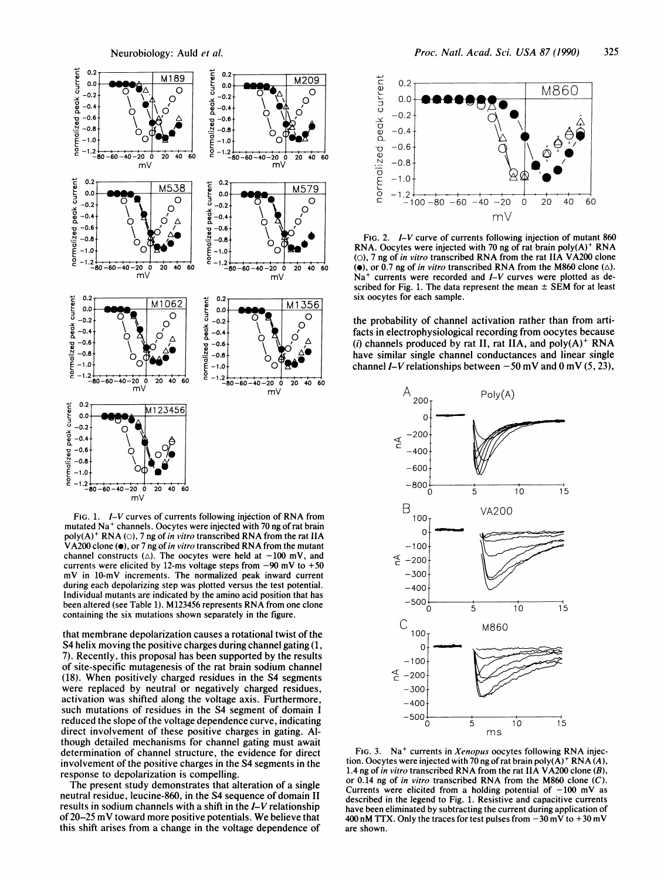

FIG. 1. I-V curves of currents following injection of RNA from mutated Na<sup>+</sup> channels. Oocytes were injected with 70 ng of rat brain poly(A)<sup>+</sup> RNA (O), 7 ng of in vitro transcribed RNA from the rat IIA VA200 clone  $\left( \bullet \right)$ , or 7 ng of in vitro transcribed RNA from the mutant channel constructs ( $\triangle$ ). The oocytes were held at -100 mV, and currents were elicited by 12-ms voltage steps from  $-90$  mV to  $+50$ mV in 10-mV increments. The normalized peak inward current during each depolarizing step was plotted versus the test potential. Individual mutants are indicated by the amino acid position that has been altered (see Table 1). M123456 represents RNA from one clone containing the six mutations shown separately in the figure.

that membrane depolarization causes a rotational twist of the S4 helix moving the positive charges during channel gating (1, 7). Recently, this proposal has been supported by the results of site-specific mutagenesis of the rat brain sodium channel (18). When positively charged residues in the S4 segments were replaced by neutral or negatively charged residues, activation was shifted along the voltage axis. Furthermore, such mutations of residues in the S4 segment of domain I reduced the slope of the voltage dependence curve, indicating direct involvement of these positive charges in gating. Although detailed mechanisms for channel gating must await determination of channel structure, the evidence for direct involvement of the positive charges in the S4 segments in the response to depolarization is compelling.

The present study demonstrates that alteration of a single neutral residue, leucine-860, in the S4 sequence of domain II results in sodium channels with a shift in the I-V relationship of 20–25 mV toward more positive potentials. We believe that this shift arises from a change in the voltage dependence of



FIG. 2. I-V curve of currents following injection of mutant 860 RNA. Oocytes were injected with 70 ng of rat brain  $poly(A)^+$  RNA (O), 7 ng of in vitro transcribed RNA from the rat IIA VA200 clone ( $\bullet$ ), or 0.7 ng of *in vitro* transcribed RNA from the M860 clone ( $\triangle$ ).  $Na<sup>+</sup>$  currents were recorded and  $I-V$  curves were plotted as described for Fig. 1. The data represent the mean  $\pm$  SEM for at least six oocytes for each sample.

the probability of channel activation rather than from artifacts in electrophysiological recording from oocytes because (i) channels produced by rat II, rat IIA, and  $poly(A)^+$  RNA have similar single channel conductances and linear single channel I-V relationships between  $-50$  mV and 0 mV (5, 23),



FIG. 3. Na<sup>+</sup> currents in Xenopus oocytes following RNA injection. Oocytes were injected with 70 ng of rat brain poly $(A)^+$  RNA $(A)$ , 1.4 ng of in vitro transcribed RNA from the rat IIA  $V$ A200 clone (B), or 0.14 ng of in vitro transcribed RNA from the M860 clone  $(C)$ . Currents were elicited from a holding potential of  $-100$  mV as described in the legend to Fig. 1. Resistive and capacitive currents have been eliminated by subtracting the current during application of 400 nM TTX. Only the traces for test pulses from  $-30$  mV to  $+30$  mV are shown.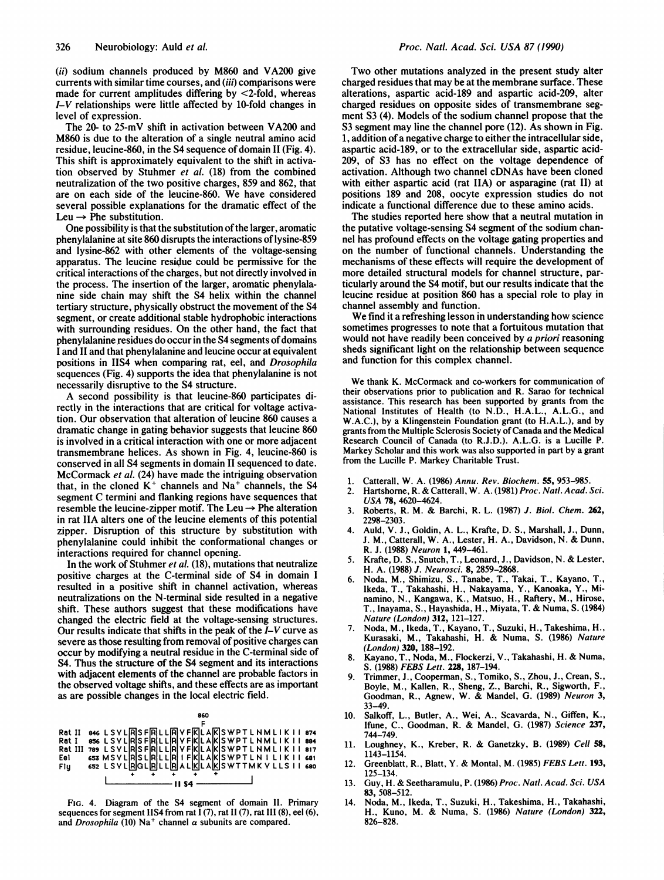(ii) sodium channels produced by M860 and VA200 give currents with similar time courses, and (iii) comparisons were made for current amplitudes differing by  $\leq$ 2-fold, whereas I-V relationships were little affected by 10-fold changes in level of expression.

The 20- to 25-mV shift in activation between VA200 and M860 is due to the alteration of a single neutral amino acid residue, leucine-860, in the S4 sequence of domain II (Fig. 4). This shift is approximately equivalent to the shift in activation observed by Stuhmer et al. (18) from the combined neutralization of the two positive charges, 859 and 862, that are on each side of the leucine-860. We have considered several possible explanations for the dramatic effect of the Leu  $\rightarrow$  Phe substitution.

One possibility is that the substitution of the larger, aromatic phenylalanine at site 860 disrupts the interactions of lysine-859 and lysine-862 with other elements of the voltage-sensing apparatus. The leucine residue could be permissive for the critical interactions of the charges, but not directly involved in the process. The insertion of the larger, aromatic phenylalanine side chain may shift the S4 helix within the channel tertiary structure, physically obstruct the movement of the S4 segment, or create additional stable hydrophobic interactions with surrounding residues. On the other hand, the fact that phenylalanine residues do occur in the S4 segments of domains <sup>I</sup> and II and that phenylalanine and leucine occur at equivalent positions in IIS4 when comparing rat, eel, and Drosophila sequences (Fig. 4) supports the idea that phenylalanine is not necessarily disruptive to the S4 structure.

A second possibility is that leucine-860 participates directly in the interactions that are critical for voltage activation. Our observation that alteration of leucine 860 causes a dramatic change in gating behavior suggests that leucine 860 is involved in a critical interaction with one or more adjacent transmembrane helices. As shown in Fig. 4, leucine-860 is conserved in all S4 segments in domain II sequenced to date. McCormack et al. (24) have made the intriguing observation that, in the cloned  $K^+$  channels and  $Na^+$  channels, the S4 segment C termini and flanking regions have sequences that resemble the leucine-zipper motif. The Leu  $\rightarrow$  Phe alteration in rat IIA alters one of the leucine elements of this potential zipper. Disruption of this structure by substitution with phenylalanine could inhibit the conformational changes or interactions required for channel opening.

In the work of Stuhmer et al. (18), mutations that neutralize positive charges at the C-terminal side of S4 in domain <sup>I</sup> resulted in a positive shift in channel activation, whereas neutralizations on the N-terminal side resulted in a negative shift. These authors suggest that these modifications have changed the electric field at the voltage-sensing structures. Our results indicate that shifts in the peak of the  $I-V$  curve as severe as those resulting from removal of positive charges can occur by modifying a neutral residue in the C-terminal side of S4. Thus the structure of the S4 segment and its interactions with adjacent elements of the channel are probable factors in the observed voltage shifts, and these effects are as important as are possible changes in the local electric field.



FIG. 4. Diagram of the S4 segment of domain 11. Primary sequences for segment IIS4 from rat  $\overline{1}$  (7), rat II (7), rat III (8), eel (6), and Drosophila (10) Na<sup>+</sup> channel  $\alpha$  subunits are compared.

Two other mutations analyzed in the present study alter charged residues that may be at the membrane surface. These alterations, aspartic acid-189 and aspartic acid-209, alter charged residues on opposite sides of transmembrane segment S3 (4). Models of the sodium channel propose that the S3 segment may line the channel pore (12). As shown in Fig. 1, addition of a negative charge to either the intracellular side, aspartic acid-189, or to the extracellular side, aspartic acid-209, of S3 has no effect on the voltage dependence of activation. Although two channel cDNAs have been cloned with either aspartic acid (rat IIA) or asparagine (rat II) at positions 189 and 208, oocyte expression studies do not indicate a functional difference due to these amino acids.

The studies reported here show that a neutral mutation in the putative voltage-sensing S4 segment of the sodium channel has profound effects on the voltage gating properties and on the number of functional channels. Understanding the mechanisms of these effects will require the development of more detailed structural models for channel structure, particularly around the S4 motif, but our results indicate that the leucine residue at position 860 has a special role to play in channel assembly and function.

We find it <sup>a</sup> refreshing lesson in understanding how science sometimes progresses to note that a fortuitous mutation that would not have readily been conceived by a priori reasoning sheds significant light on the relationship between sequence and function for this complex channel.

We thank K. McCormack and co-workers for communication of their observations prior to publication and R. Sarao for technical assistance. This research has been supported by grants from the National Institutes of Health (to N.D., H.A.L., A.L.G., and W.A.C.), by a Klingenstein Foundation grant (to H.A.L.), and by grants from the Multiple Sclerosis Society of Canada and the Medical Research Council of Canada (to R.J.D.). A.L.G. is a Lucille P. Markey Scholar and this work was also supported in part by a grant from the Lucille P. Markey Charitable Trust.

- Catterall, W. A. (1986) Annu. Rev. Biochem. 55, 953-985.
- 2. Hartshorne, R. & Catterall, W. A. (1981) Proc. Natl. Acad. Sci.
- USA 78, 4620-4624. 3. Roberts, R. M. & Barchi, R. L. (1987) J. Biol. Chem. 262, 2298-2303.
- 4. Auld, V. J., Goldin, A. L., Krafte, D. S., Marshall, J., Dunn, J. M., Catterall, W. A., Lester, H. A., Davidson, N. & Dunn, R. J. (1988) Neuron 1, 449-461.
- 5. Krafte, D. S., Snutch, T., Leonard, J., Davidson, N. & Lester, H. A. (1988) J. Neurosci. 8, 2859-2868.
- 6. Noda, M., Shimizu, S., Tanabe, T., Takai, T., Kayano, T., Ikeda, T., Takahashi, H., Nakayama, Y., Kanoaka, Y., Minamino, N., Kangawa, K., Matsuo, H., Raftery, M., Hirose, T., Inayama, S., Hayashida, H., Miyata, T. & Numa, S. (1984) Nature (London) 312, 121-127.
- 7. Noda, M., Ikeda, T., Kayano, T., Suzuki, H., Takeshima, H., Kurasaki, M., Takahashi, H. & Numa, S. (1986) Nature (London) 320, 188-192.
- 8. Kayano, T., Noda, M., Flockerzi, V., Takahashi, H. & Numa, S. (1988) FEBS Lett. 228, 187-194.
- 9. Trimmer, J., Cooperman, S., Tomiko, S., Zhou, J., Crean, S., Boyle, M., Kallen, R., Sheng, Z., Barchi, R., Sigworth, F., Goodman, R., Agnew, W. & Mandel, G. (1989) Neuron 3, 33-49.
- 10. Salkoff, L., Butler, A., Wei, A., Scavarda, N., Giffen, K., Ifune, C., Goodman, R. & Mandel, G. (1987) Science 237, 744-749.
- 11. Loughney, K., Kreber, R. & Ganetzky, B. (1989) Cell 58, 1143-1154.
- 12. Greenblatt, R., Blatt, Y. & Montal, M. (1985) FEBS Lett. 193, 125-134.
- 13. Guy, H. & Seetharamulu, P. (1986) Proc. Natl. Acad. Sci. USA 83, 508-512.
- 14. Noda, M., Ikeda, T., Suzuki, H., Takeshima, H., Takahashi, H., Kuno, M. & Numa, S. (1986) Nature (London) 322, 826-828.